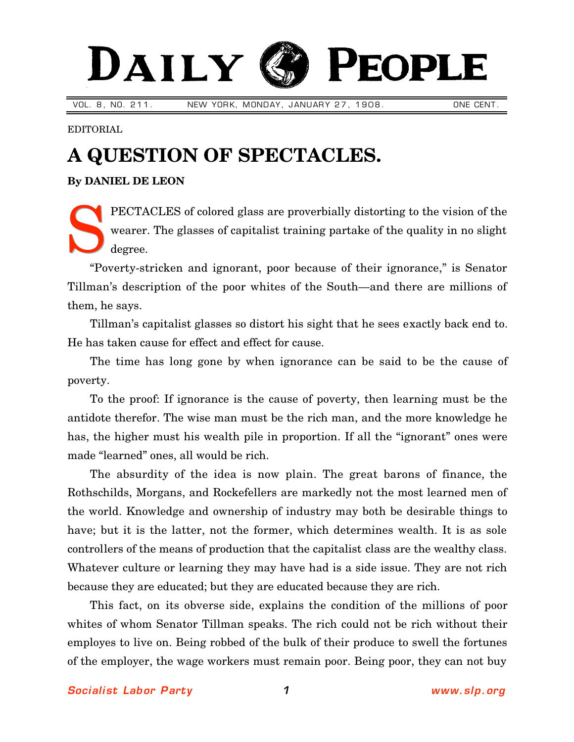## DAILY EOPLE

VOL. 8, NO. 211. NEW YORK, MONDAY, JANUARY 27, 1908. NAME CENT.

EDITORIAL

## **A QUESTION OF SPECTACLES.**

**By [DANIEL DE LEON](http://www.slp.org/De_Leon.htm)**

PECTACLES of colored glass are proverbially distorting to the vision of the wearer. The glasses of capitalist training partake of the quality in no slight degree. S

"Poverty-stricken and ignorant, poor because of their ignorance," is Senator Tillman's description of the poor whites of the South—and there are millions of them, he says.

Tillman's capitalist glasses so distort his sight that he sees exactly back end to. He has taken cause for effect and effect for cause.

The time has long gone by when ignorance can be said to be the cause of poverty.

To the proof: If ignorance is the cause of poverty, then learning must be the antidote therefor. The wise man must be the rich man, and the more knowledge he has, the higher must his wealth pile in proportion. If all the "ignorant" ones were made "learned" ones, all would be rich.

The absurdity of the idea is now plain. The great barons of finance, the Rothschilds, Morgans, and Rockefellers are markedly not the most learned men of the world. Knowledge and ownership of industry may both be desirable things to have; but it is the latter, not the former, which determines wealth. It is as sole controllers of the means of production that the capitalist class are the wealthy class. Whatever culture or learning they may have had is a side issue. They are not rich because they are educated; but they are educated because they are rich.

This fact, on its obverse side, explains the condition of the millions of poor whites of whom Senator Tillman speaks. The rich could not be rich without their employes to live on. Being robbed of the bulk of their produce to swell the fortunes of the employer, the wage workers must remain poor. Being poor, they can not buy